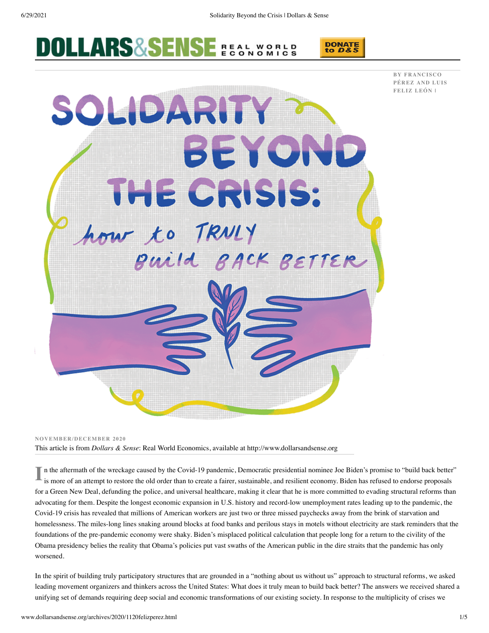## **DOLLARS&SENSE ESSLABREES**



**BY FRANCISCO PÉREZ AND LUIS FELIZ LEÓN |**

# SOLIDARITY BEYOND THE CRISIS: how to TRNLY Build BACK BETTER

**NOVEMBER/DECEMBER 2020** This article is from *Dollars & Sense*: Real World Economics, available at http://www.dollarsandsense.org

In the aftermath of the wreckage caused by the Covid-19 pandemic, Democratic presidential nominee Joe Biden's promise to "build back better" is more of an attempt to restore the old order than to create a fairer, sustainab is more of an attempt to restore the old order than to create a fairer, sustainable, and resilient economy. Biden has refused to endorse proposals for a Green New Deal, defunding the police, and universal healthcare, making it clear that he is more committed to evading structural reforms than advocating for them. Despite the longest economic expansion in U.S. history and record-low unemployment rates leading up to the pandemic, the Covid-19 crisis has revealed that millions of American workers are just two or three missed paychecks away from the brink of starvation and homelessness. The miles-long lines snaking around blocks at food banks and perilous stays in motels without electricity are stark reminders that the foundations of the pre-pandemic economy were shaky. Biden's misplaced political calculation that people long for a return to the civility of the Obama presidency belies the reality that Obama's policies put vast swaths of the American public in the dire straits that the pandemic has only worsened.

In the spirit of building truly participatory structures that are grounded in a "nothing about us without us" approach to structural reforms, we asked leading movement organizers and thinkers across the United States: What does it truly mean to build back better? The answers we received shared a unifying set of demands requiring deep social and economic transformations of our existing society. In response to the multiplicity of crises we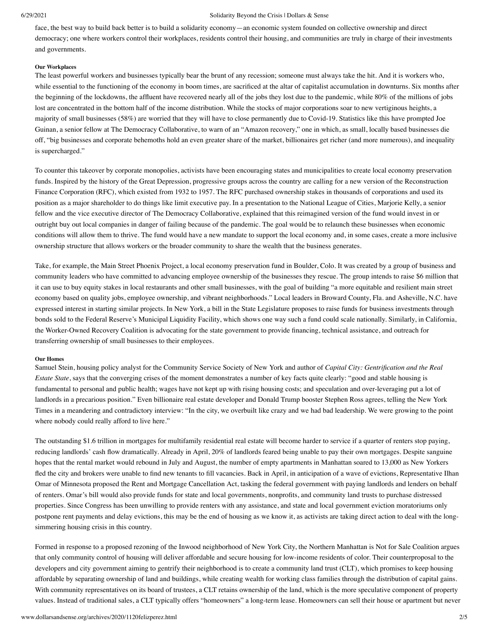#### 6/29/2021 Solidarity Beyond the Crisis | Dollars & Sense

face, the best way to build back better is to build a solidarity economy—an economic system founded on collective ownership and direct democracy; one where workers control their workplaces, residents control their housing, and communities are truly in charge of their investments and governments.

#### **Our Workplaces**

The least powerful workers and businesses typically bear the brunt of any recession; someone must always take the hit. And it is workers who, while essential to the functioning of the economy in boom times, are sacrificed at the altar of capitalist accumulation in downturns. Six months after the beginning of the lockdowns, the affluent have recovered nearly all of the jobs they lost due to the pandemic, while 80% of the millions of jobs lost are concentrated in the bottom half of the income distribution. While the stocks of major corporations soar to new vertiginous heights, a majority of small businesses (58%) are worried that they will have to close permanently due to Covid-19. Statistics like this have prompted Joe Guinan, a senior fellow at The Democracy Collaborative, to warn of an "Amazon recovery," one in which, as small, locally based businesses die off, "big businesses and corporate behemoths hold an even greater share of the market, billionaires get richer (and more numerous), and inequality is supercharged."

To counter this takeover by corporate monopolies, activists have been encouraging states and municipalities to create local economy preservation funds. Inspired by the history of the Great Depression, progressive groups across the country are calling for a new version of the Reconstruction Finance Corporation (RFC), which existed from 1932 to 1957. The RFC purchased ownership stakes in thousands of corporations and used its position as a major shareholder to do things like limit executive pay. In a presentation to the National League of Cities, Marjorie Kelly, a senior fellow and the vice executive director of The Democracy Collaborative, explained that this reimagined version of the fund would invest in or outright buy out local companies in danger of failing because of the pandemic. The goal would be to relaunch these businesses when economic conditions will allow them to thrive. The fund would have a new mandate to support the local economy and, in some cases, create a more inclusive ownership structure that allows workers or the broader community to share the wealth that the business generates.

Take, for example, the Main Street Phoenix Project, a local economy preservation fund in Boulder, Colo. It was created by a group of business and community leaders who have committed to advancing employee ownership of the businesses they rescue. The group intends to raise \$6 million that it can use to buy equity stakes in local restaurants and other small businesses, with the goal of building "a more equitable and resilient main street economy based on quality jobs, employee ownership, and vibrant neighborhoods." Local leaders in Broward County, Fla. and Asheville, N.C. have expressed interest in starting similar projects. In New York, a bill in the State Legislature proposes to raise funds for business investments through bonds sold to the Federal Reserve's Municipal Liquidity Facility, which shows one way such a fund could scale nationally. Similarly, in California, the Worker-Owned Recovery Coalition is advocating for the state government to provide financing, technical assistance, and outreach for transferring ownership of small businesses to their employees.

#### **Our Homes**

Samuel Stein, housing policy analyst for the Community Service Society of New York and author of *Capital City: Gentrification and the Real Estate State*, says that the converging crises of the moment demonstrates a number of key facts quite clearly: "good and stable housing is fundamental to personal and public health; wages have not kept up with rising housing costs; and speculation and over-leveraging put a lot of landlords in a precarious position." Even billionaire real estate developer and Donald Trump booster Stephen Ross agrees, telling the New York Times in a meandering and contradictory interview: "In the city, we overbuilt like crazy and we had bad leadership. We were growing to the point where nobody could really afford to live here."

The outstanding \$1.6 trillion in mortgages for multifamily residential real estate will become harder to service if a quarter of renters stop paying, reducing landlords' cash flow dramatically. Already in April, 20% of landlords feared being unable to pay their own mortgages. Despite sanguine hopes that the rental market would rebound in July and August, the number of empty apartments in Manhattan soared to 13,000 as New Yorkers fled the city and brokers were unable to find new tenants to fill vacancies. Back in April, in anticipation of a wave of evictions, Representative Ilhan Omar of Minnesota proposed the Rent and Mortgage Cancellation Act, tasking the federal government with paying landlords and lenders on behalf of renters. Omar's bill would also provide funds for state and local governments, nonprofits, and community land trusts to purchase distressed properties. Since Congress has been unwilling to provide renters with any assistance, and state and local government eviction moratoriums only postpone rent payments and delay evictions, this may be the end of housing as we know it, as activists are taking direct action to deal with the longsimmering housing crisis in this country.

Formed in response to a proposed rezoning of the Inwood neighborhood of New York City, the Northern Manhattan is Not for Sale Coalition argues that only community control of housing will deliver affordable and secure housing for low-income residents of color. Their counterproposal to the developers and city government aiming to gentrify their neighborhood is to create a community land trust (CLT), which promises to keep housing affordable by separating ownership of land and buildings, while creating wealth for working class families through the distribution of capital gains. With community representatives on its board of trustees, a CLT retains ownership of the land, which is the more speculative component of property values. Instead of traditional sales, a CLT typically offers "homeowners" a long-term lease. Homeowners can sell their house or apartment but never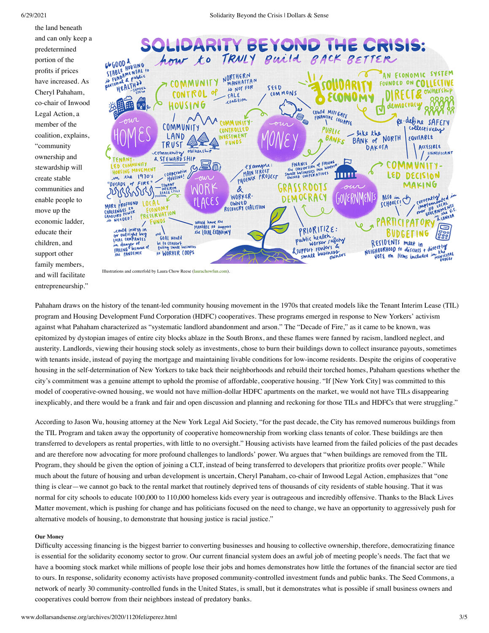the land beneath and can only keep a predetermined portion of the profits if prices have increased. As Cheryl Pahaham, co-chair of Inwood Legal Action, a member of the coalition, explains, "community ownership and stewardship will create stable communities and enable people to move up the economic ladder, educate their children, and support other family members, and will facilitate entrepreneurship."





Illustrations and centerfold by Laura Chow Reese ([laurachowfun.com\)](http://laurachowfun.com/).

Pahaham draws on the history of the tenant-led community housing movement in the 1970s that created models like the Tenant Interim Lease (TIL) program and Housing Development Fund Corporation (HDFC) cooperatives. These programs emerged in response to New Yorkers' activism against what Pahaham characterized as "systematic landlord abandonment and arson." The "Decade of Fire," as it came to be known, was epitomized by dystopian images of entire city blocks ablaze in the South Bronx, and these flames were fanned by racism, landlord neglect, and austerity. Landlords, viewing their housing stock solely as investments, chose to burn their buildings down to collect insurance payouts, sometimes with tenants inside, instead of paying the mortgage and maintaining livable conditions for low-income residents. Despite the origins of cooperative housing in the self-determination of New Yorkers to take back their neighborhoods and rebuild their torched homes, Pahaham questions whether the city's commitment was a genuine attempt to uphold the promise of affordable, cooperative housing. "If [New York City] was committed to this model of cooperative-owned housing, we would not have million-dollar HDFC apartments on the market, we would not have TILs disappearing inexplicably, and there would be a frank and fair and open discussion and planning and reckoning for those TILs and HDFCs that were struggling."

According to Jason Wu, housing attorney at the New York Legal Aid Society, "for the past decade, the City has removed numerous buildings from the TIL Program and taken away the opportunity of cooperative homeownership from working class tenants of color. These buildings are then transferred to developers as rental properties, with little to no oversight." Housing activists have learned from the failed policies of the past decades and are therefore now advocating for more profound challenges to landlords' power. Wu argues that "when buildings are removed from the TIL Program, they should be given the option of joining a CLT, instead of being transferred to developers that prioritize profits over people." While much about the future of housing and urban development is uncertain, Cheryl Panaham, co-chair of Inwood Legal Action, emphasizes that "one thing is clear—we cannot go back to the rental market that routinely deprived tens of thousands of city residents of stable housing. That it was normal for city schools to educate 100,000 to 110,000 homeless kids every year is outrageous and incredibly offensive. Thanks to the Black Lives Matter movement, which is pushing for change and has politicians focused on the need to change, we have an opportunity to aggressively push for alternative models of housing, to demonstrate that housing justice is racial justice."

#### **Our Money**

Difficulty accessing financing is the biggest barrier to converting businesses and housing to collective ownership, therefore, democratizing finance is essential for the solidarity economy sector to grow. Our current financial system does an awful job of meeting people's needs. The fact that we have a booming stock market while millions of people lose their jobs and homes demonstrates how little the fortunes of the financial sector are tied to ours. In response, solidarity economy activists have proposed community-controlled investment funds and public banks. The Seed Commons, a network of nearly 30 community-controlled funds in the United States, is small, but it demonstrates what is possible if small business owners and cooperatives could borrow from their neighbors instead of predatory banks.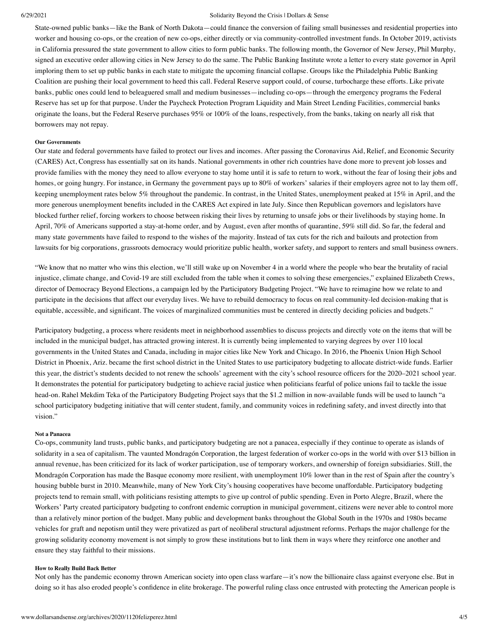#### 6/29/2021 Solidarity Beyond the Crisis | Dollars & Sense

State-owned public banks—like the Bank of North Dakota—could finance the conversion of failing small businesses and residential properties into worker and housing co-ops, or the creation of new co-ops, either directly or via community-controlled investment funds. In October 2019, activists in California pressured the state government to allow cities to form public banks. The following month, the Governor of New Jersey, Phil Murphy, signed an executive order allowing cities in New Jersey to do the same. The Public Banking Institute wrote a letter to every state governor in April imploring them to set up public banks in each state to mitigate the upcoming financial collapse. Groups like the Philadelphia Public Banking Coalition are pushing their local government to heed this call. Federal Reserve support could, of course, turbocharge these efforts. Like private banks, public ones could lend to beleaguered small and medium businesses—including co-ops—through the emergency programs the Federal Reserve has set up for that purpose. Under the Paycheck Protection Program Liquidity and Main Street Lending Facilities, commercial banks originate the loans, but the Federal Reserve purchases 95% or 100% of the loans, respectively, from the banks, taking on nearly all risk that borrowers may not repay.

#### **Our Governments**

Our state and federal governments have failed to protect our lives and incomes. After passing the Coronavirus Aid, Relief, and Economic Security (CARES) Act, Congress has essentially sat on its hands. National governments in other rich countries have done more to prevent job losses and provide families with the money they need to allow everyone to stay home until it is safe to return to work, without the fear of losing their jobs and homes, or going hungry. For instance, in Germany the government pays up to 80% of workers' salaries if their employers agree not to lay them off, keeping unemployment rates below 5% throughout the pandemic. In contrast, in the United States, unemployment peaked at 15% in April, and the more generous unemployment benefits included in the CARES Act expired in late July. Since then Republican governors and legislators have blocked further relief, forcing workers to choose between risking their lives by returning to unsafe jobs or their livelihoods by staying home. In April, 70% of Americans supported a stay-at-home order, and by August, even after months of quarantine, 59% still did. So far, the federal and many state governments have failed to respond to the wishes of the majority. Instead of tax cuts for the rich and bailouts and protection from lawsuits for big corporations, grassroots democracy would prioritize public health, worker safety, and support to renters and small business owners.

"We know that no matter who wins this election, we'll still wake up on November 4 in a world where the people who bear the brutality of racial injustice, climate change, and Covid-19 are still excluded from the table when it comes to solving these emergencies," explained Elizabeth Crews, director of Democracy Beyond Elections, a campaign led by the Participatory Budgeting Project. "We have to reimagine how we relate to and participate in the decisions that affect our everyday lives. We have to rebuild democracy to focus on real community-led decision-making that is equitable, accessible, and significant. The voices of marginalized communities must be centered in directly deciding policies and budgets."

Participatory budgeting, a process where residents meet in neighborhood assemblies to discuss projects and directly vote on the items that will be included in the municipal budget, has attracted growing interest. It is currently being implemented to varying degrees by over 110 local governments in the United States and Canada, including in major cities like New York and Chicago. In 2016, the Phoenix Union High School District in Phoenix, Ariz. became the first school district in the United States to use participatory budgeting to allocate district-wide funds. Earlier this year, the district's students decided to not renew the schools' agreement with the city's school resource officers for the 2020–2021 school year. It demonstrates the potential for participatory budgeting to achieve racial justice when politicians fearful of police unions fail to tackle the issue head-on. Rahel Mekdim Teka of the Participatory Budgeting Project says that the \$1.2 million in now-available funds will be used to launch "a school participatory budgeting initiative that will center student, family, and community voices in redefining safety, and invest directly into that vision."

#### **Not a Panacea**

Co-ops, community land trusts, public banks, and participatory budgeting are not a panacea, especially if they continue to operate as islands of solidarity in a sea of capitalism. The vaunted Mondragón Corporation, the largest federation of worker co-ops in the world with over \$13 billion in annual revenue, has been criticized for its lack of worker participation, use of temporary workers, and ownership of foreign subsidiaries. Still, the Mondragón Corporation has made the Basque economy more resilient, with unemployment 10% lower than in the rest of Spain after the country's housing bubble burst in 2010. Meanwhile, many of New York City's housing cooperatives have become unaffordable. Participatory budgeting projects tend to remain small, with politicians resisting attempts to give up control of public spending. Even in Porto Alegre, Brazil, where the Workers' Party created participatory budgeting to confront endemic corruption in municipal government, citizens were never able to control more than a relatively minor portion of the budget. Many public and development banks throughout the Global South in the 1970s and 1980s became vehicles for graft and nepotism until they were privatized as part of neoliberal structural adjustment reforms. Perhaps the major challenge for the growing solidarity economy movement is not simply to grow these institutions but to link them in ways where they reinforce one another and ensure they stay faithful to their missions.

### **How to Really Build Back Better**

Not only has the pandemic economy thrown American society into open class warfare—it's now the billionaire class against everyone else. But in doing so it has also eroded people's confidence in elite brokerage. The powerful ruling class once entrusted with protecting the American people is